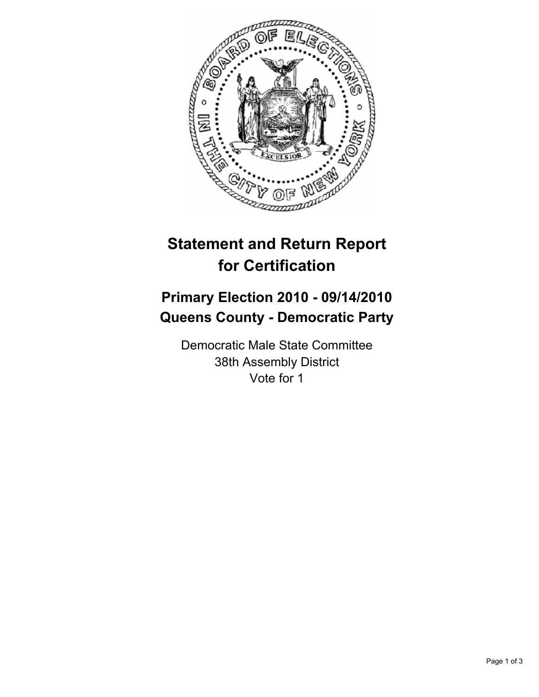

# **Statement and Return Report for Certification**

## **Primary Election 2010 - 09/14/2010 Queens County - Democratic Party**

Democratic Male State Committee 38th Assembly District Vote for 1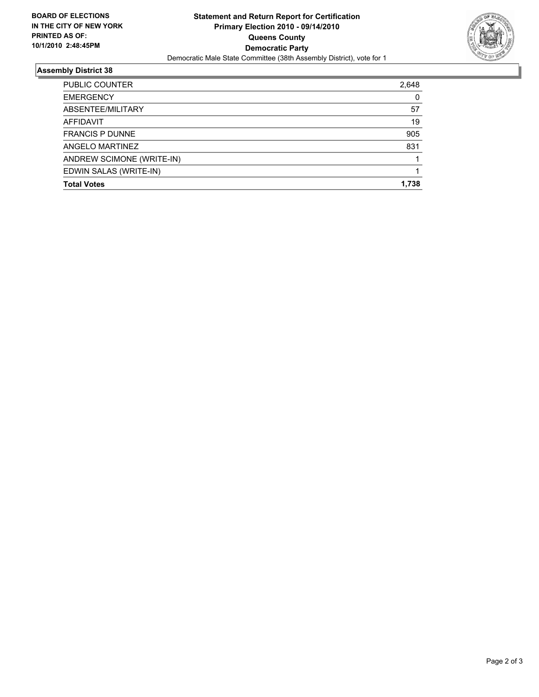

### **Assembly District 38**

| <b>Total Votes</b>        | 1.738 |
|---------------------------|-------|
| EDWIN SALAS (WRITE-IN)    |       |
| ANDREW SCIMONE (WRITE-IN) |       |
| ANGELO MARTINEZ           | 831   |
| <b>FRANCIS P DUNNE</b>    | 905   |
| AFFIDAVIT                 | 19    |
| ABSENTEE/MILITARY         | 57    |
| <b>EMERGENCY</b>          | 0     |
| PUBLIC COUNTER            | 2,648 |